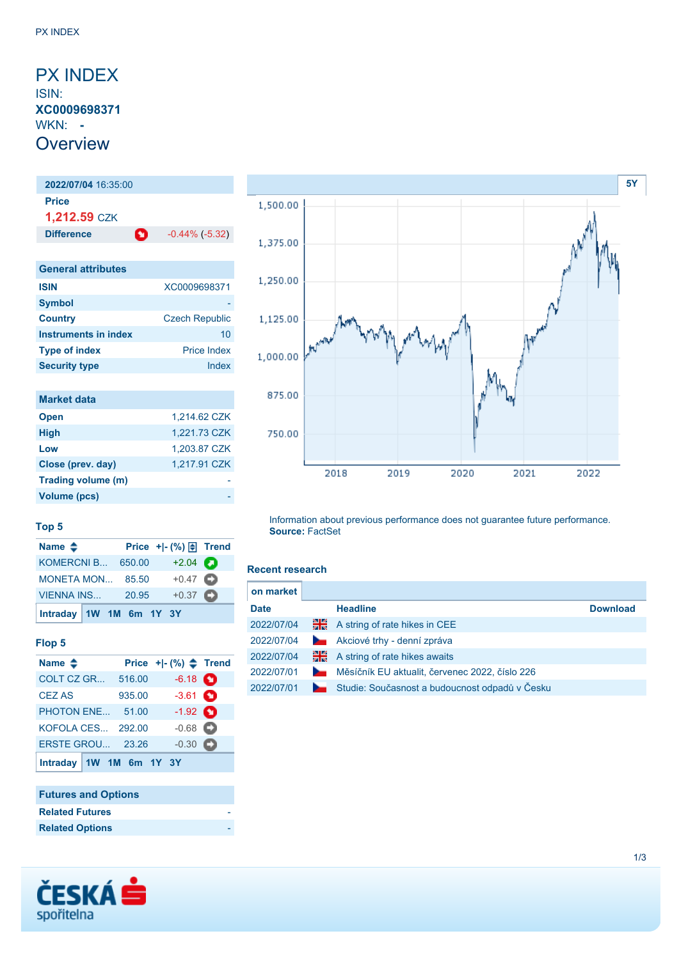# <span id="page-0-0"></span>PX INDEX ISIN: **XC0009698371** WKN: **- Overview**

# **2022/07/04** 16:35:00 **Price 1,212.59** CZK **Difference CD** -0.44% (-5.32) **General attributes ISIN** XC0009698371 **Symbol**

| <b>Country</b>       | <b>Czech Republic</b> |
|----------------------|-----------------------|
| Instruments in index | 10                    |
| <b>Type of index</b> | <b>Price Index</b>    |
| <b>Security type</b> | Index                 |

| <b>Market data</b> |              |
|--------------------|--------------|
| <b>Open</b>        | 1,214.62 CZK |
| <b>High</b>        | 1,221.73 CZK |
| Low                | 1,203.87 CZK |
| Close (prev. day)  | 1,217.91 CZK |
| Trading volume (m) |              |
| Volume (pcs)       |              |



### **Top 5**

| Name $\triangle$        |       | Price + - $\left(\% \right) \oplus$ Trend |  |
|-------------------------|-------|-------------------------------------------|--|
| KOMERCNI B 650.00       |       | $+2.04$ $\bullet$                         |  |
| MONETA MON 85.50        |       | $+0.47$ $\bullet$                         |  |
| VIENNA INS              | 20.95 | $+0.37$ $\bullet$                         |  |
| Intraday 1W 1M 6m 1Y 3Y |       |                                           |  |

## **Flop 5**

| Name $\triangleq$       |        | Price $+[-(%)$ $\triangleq$ Trend |  |
|-------------------------|--------|-----------------------------------|--|
| COLT CZ GR              | 516.00 | $-6.18$ $\bullet$                 |  |
| <b>CEZ AS</b>           | 935.00 | $-3.61$ $\bullet$                 |  |
| <b>PHOTON ENE</b>       | 51.00  | $-1.92$ $\bullet$                 |  |
| KOFOLA CES 292.00       |        | $-0.68$ $\bullet$                 |  |
| <b>ERSTE GROU 23.26</b> |        | $-0.30$ $\bullet$                 |  |
| Intraday 1W 1M 6m 1Y 3Y |        |                                   |  |

## **Futures and Options**

| <b>Related Futures</b> |  |
|------------------------|--|
| <b>Related Options</b> |  |



#### **Recent research**

| on market   |                          |                                                |                 |
|-------------|--------------------------|------------------------------------------------|-----------------|
| <b>Date</b> |                          | <b>Headline</b>                                | <b>Download</b> |
| 2022/07/04  | 꾊                        | A string of rate hikes in CEE                  |                 |
| 2022/07/04  | <b>Contract Contract</b> | Akciové trhy - denní zpráva                    |                 |
| 2022/07/04  | ₩                        | A string of rate hikes awaits                  |                 |
| 2022/07/01  | <b>Service</b>           | Měsíčník EU aktualit, červenec 2022, číslo 226 |                 |
| 2022/07/01  |                          | Studie: Současnost a budoucnost odpadů v Česku |                 |

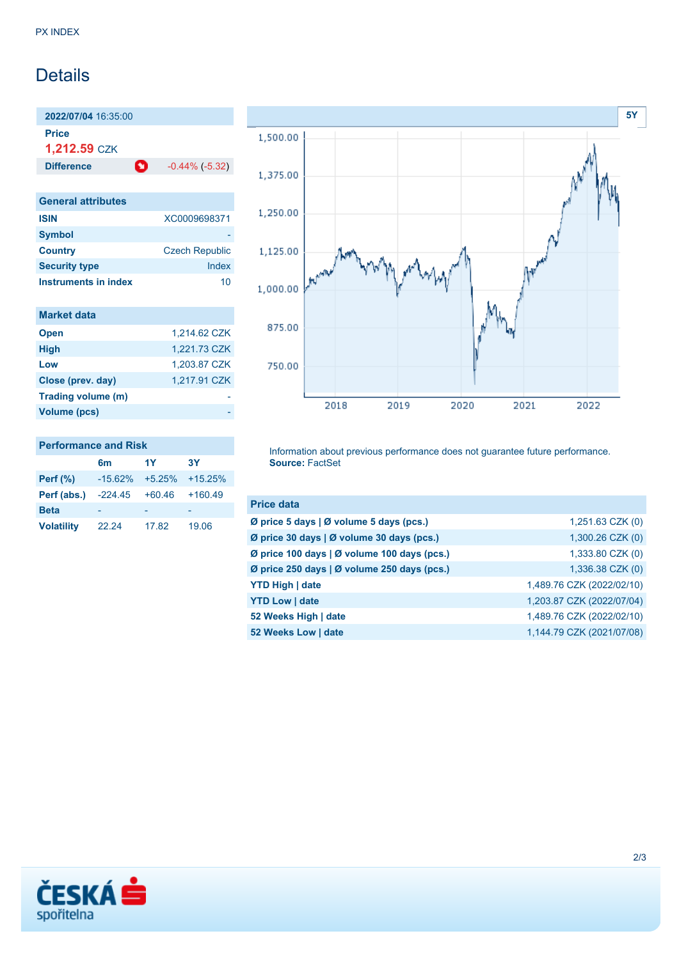# **Details**

**2022/07/04** 16:35:00 **Price 1,212.59** CZK

**Difference 1** -0.44% (-5.32)

| <b>General attributes</b> |                       |
|---------------------------|-----------------------|
| <b>ISIN</b>               | XC0009698371          |
| <b>Symbol</b>             |                       |
| <b>Country</b>            | <b>Czech Republic</b> |
| <b>Security type</b>      | Index                 |
| Instruments in index      | 10                    |

| <b>Market data</b> |              |
|--------------------|--------------|
| <b>Open</b>        | 1,214.62 CZK |
| <b>High</b>        | 1,221.73 CZK |
| Low                | 1,203.87 CZK |
| Close (prev. day)  | 1,217.91 CZK |
| Trading volume (m) |              |
| Volume (pcs)       |              |



#### **Performance and Risk**

|                   | 6m        | 1Y       | <b>3Y</b> |
|-------------------|-----------|----------|-----------|
| <b>Perf</b> (%)   | $-15.62%$ | $+5.25%$ | $+15.25%$ |
| Perf (abs.)       | $-224.45$ | $+60.46$ | $+160.49$ |
| <b>Beta</b>       |           |          |           |
| <b>Volatility</b> | 22.24     | 17.82    | 19.06     |

Information about previous performance does not guarantee future performance. **Source:** FactSet

| <b>Price data</b>                           |                           |
|---------------------------------------------|---------------------------|
| Ø price 5 days   Ø volume 5 days (pcs.)     | $1,251.63$ CZK $(0)$      |
| Ø price 30 days   Ø volume 30 days (pcs.)   | 1,300.26 CZK (0)          |
| Ø price 100 days   Ø volume 100 days (pcs.) | 1,333.80 CZK (0)          |
| Ø price 250 days   Ø volume 250 days (pcs.) | 1,336.38 CZK (0)          |
| <b>YTD High   date</b>                      | 1,489.76 CZK (2022/02/10) |
| <b>YTD Low   date</b>                       | 1,203.87 CZK (2022/07/04) |
| 52 Weeks High   date                        | 1,489.76 CZK (2022/02/10) |
| 52 Weeks Low   date                         | 1,144.79 CZK (2021/07/08) |